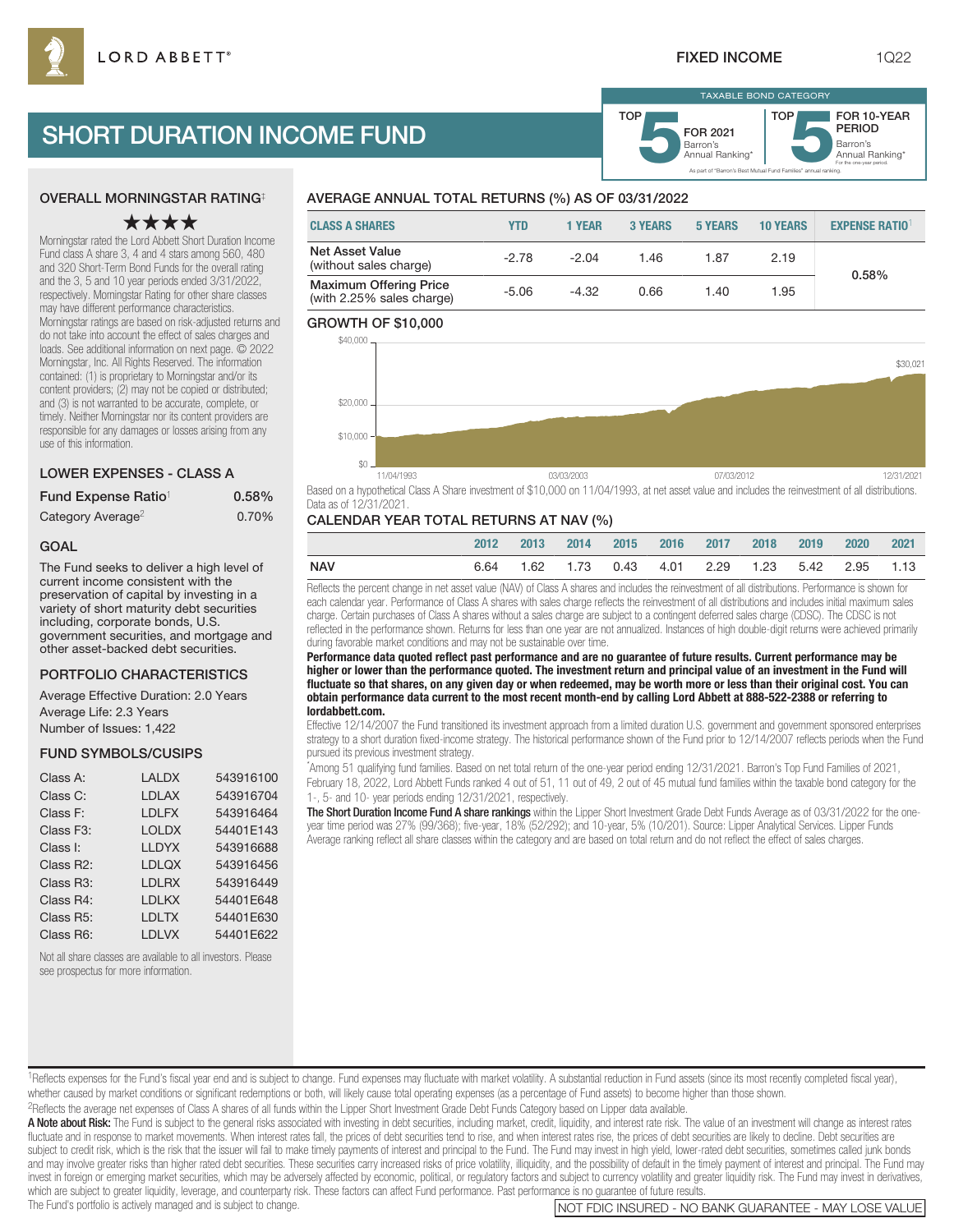As part of "Barron's Best Mutual Fund Families" annual ranking.

Barron's **5**Annual Ranking\* FOR 2021

TAXABLE BOND CATEGORY

TOP

Barron's<br>Annual Ranking\*

For the one-year period.

FOR 10-YEAR PERIOD

# SHORT DURATION INCOME FUND

## OVERALL MORNINGSTAR RATING‡

## ★★★★

Morningstar rated the Lord Abbett Short Duration Income Fund class A share 3, 4 and 4 stars among 560, 480 and 320 Short-Term Bond Funds for the overall rating and the 3, 5 and 10 year periods ended 3/31/2022, respectively. Morningstar Rating for other share classes may have different performance characteristics. Morningstar ratings are based on risk-adjusted returns and do not take into account the effect of sales charges and loads. See additional information on next page. © 2022 Morningstar, Inc. All Rights Reserved. The information contained: (1) is proprietary to Morningstar and/or its content providers; (2) may not be copied or distributed; and (3) is not warranted to be accurate, complete, or timely. Neither Morningstar nor its content providers are responsible for any damages or losses arising from any use of this information.

#### LOWER EXPENSES - CLASS A

| Fund Expense Ratio <sup>1</sup> | 0.58% |
|---------------------------------|-------|
| Category Average <sup>2</sup>   | 0.70% |

#### GOAL

The Fund seeks to deliver a high level of current income consistent with the preservation of capital by investing in a variety of short maturity debt securities including, corporate bonds, U.S. government securities, and mortgage and other asset-backed debt securities.

#### PORTFOLIO CHARACTERISTICS

Average Effective Duration: 2.0 Years Average Life: 2.3 Years

Number of Issues: 1,422

#### FUND SYMBOLS/CUSIPS

| Class A:               | <b>LALDX</b> | 543916100 |
|------------------------|--------------|-----------|
| Class C:               | LDLAX        | 543916704 |
| Class F:               | <b>LDLFX</b> | 543916464 |
| Class F <sub>3</sub> : | <b>LOLDX</b> | 54401E143 |
| Class I:               | <b>LLDYX</b> | 543916688 |
| Class R2:              | <b>LDLOX</b> | 543916456 |
| Class R <sub>3</sub> : | <b>LDLRX</b> | 543916449 |
| Class R4:              | I DI KX      | 54401E648 |
| Class R <sub>5</sub> : | <b>LDLTX</b> | 54401E630 |
| Class R6:              | <b>LDLVX</b> | 54401E622 |
|                        |              |           |

Not all share classes are available to all investors. Please see prospectus for more information.

## AVERAGE ANNUAL TOTAL RETURNS (%) AS OF 03/31/2022

| <b>CLASS A SHARES</b>                                      | YTD     | <b>1 YEAR</b> | <b>3 YEARS</b> | <b>5 YEARS</b> | <b>10 YEARS</b> | <b>EXPENSE RATIO</b> |
|------------------------------------------------------------|---------|---------------|----------------|----------------|-----------------|----------------------|
| <b>Net Asset Value</b><br>(without sales charge)           | $-2.78$ | $-2.04$       | 1.46           | 1.87           | 2.19            | 0.58%                |
| <b>Maximum Offering Price</b><br>(with 2.25% sales charge) | -5.06   | $-4.32$       | 0.66           | 1.40           | 1.95            |                      |

TOP

#### GROWTH OF \$10,000



Based on a hypothetical Class A Share investment of \$10,000 on 11/04/1993, at net asset value and includes the reinvestment of all distributions. Data as of 12/31/2021.

#### CALENDAR YEAR TOTAL RETURNS AT NAV (%)

|     | 2012 | 2013 |  | 2014 2015 2016 2017 2018 2019 2020 2021              |  |  |  |
|-----|------|------|--|------------------------------------------------------|--|--|--|
| NAV | 6.64 |      |  | 1.62  1.73  0.43  4.01  2.29  1.23  5.42  2.95  1.13 |  |  |  |

Reflects the percent change in net asset value (NAV) of Class A shares and includes the reinvestment of all distributions. Performance is shown for each calendar year. Performance of Class A shares with sales charge reflects the reinvestment of all distributions and includes initial maximum sales charge. Certain purchases of Class A shares without a sales charge are subject to a contingent deferred sales charge (CDSC). The CDSC is not reflected in the performance shown. Returns for less than one year are not annualized. Instances of high double-digit returns were achieved primarily during favorable market conditions and may not be sustainable over time.

**Performance data quoted reflect past performance and are no guarantee of future results. Current performance may be higher or lower than the performance quoted. The investment return and principal value of an investment in the Fund will fluctuate so that shares, on any given day or when redeemed, may be worth more or less than their original cost. You can obtain performance data current to the most recent month-end by calling Lord Abbett at 888-522-2388 or referring to lordabbett.com.**

Effective 12/14/2007 the Fund transitioned its investment approach from a limited duration U.S. government and government sponsored enterprises strategy to a short duration fixed-income strategy. The historical performance shown of the Fund prior to 12/14/2007 reflects periods when the Fund pursued its previous investment strategy.

\* Among 51 qualifying fund families. Based on net total return of the one-year period ending 12/31/2021. Barron's Top Fund Families of 2021, February 18, 2022, Lord Abbett Funds ranked 4 out of 51, 11 out of 49, 2 out of 45 mutual fund families within the taxable bond category for the 1-, 5- and 10- year periods ending 12/31/2021, respectively.

The Short Duration Income Fund A share rankings within the Lipper Short Investment Grade Debt Funds Average as of 03/31/2022 for the oneyear time period was 27% (99/368); five-year, 18% (52/292); and 10-year, 5% (10/201). Source: Lipper Analytical Services. Lipper Funds Average ranking reflect all share classes within the category and are based on total return and do not reflect the effect of sales charges.

#### 1Reflects expenses for the Fund's fiscal year end and is subject to change. Fund expenses may fluctuate with market volatility. A substantial reduction in Fund assets (since its most recently completed fiscal year), whether caused by market conditions or significant redemptions or both, will likely cause total operating expenses (as a percentage of Fund assets) to become higher than those shown.

2Reflects the average net expenses of Class A shares of all funds within the Lipper Short Investment Grade Debt Funds Category based on Lipper data available.

A Note about Risk: The Fund is subject to the general risks associated with investing in debt securities, including market, credit, liquidity, and interest rate risk. The value of an investment will change as interest rate fluctuate and in response to market movements. When interest rates fall, the prices of debt securities tend to rise, and when interest rates rise, the prices of debt securities are likely to decline. Debt securities are subject to credit risk, which is the risk that the issuer will fail to make timely payments of interest and principal to the Fund. The Fund may invest in high yield, lower-rated debt securities, sometimes called junk bonds and may involve greater risks than higher rated debt securities. These securities carry increased risks of price volatility, illiquidity, and the possibility of default in the timely payment of interest and principal. The invest in foreign or emerging market securities, which may be adversely affected by economic, political, or regulatory factors and subject to currency volatility and greater liquidity risk. The Fund may invest in derivativ which are subject to greater liquidity, leverage, and counterparty risk. These factors can affect Fund performance. Past performance is no guarantee of future results.